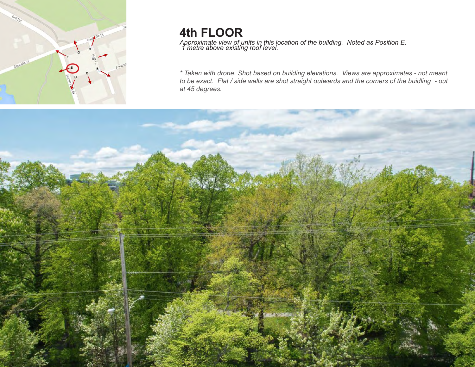

*Approximate view of units in this location of the building. Noted as Position E. 1 metre above existing roof level.* 

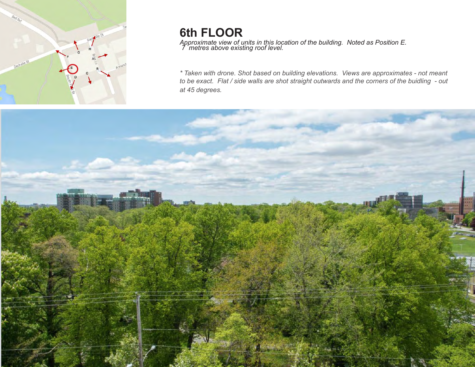

*Approximate view of units in this location of the building. Noted as Position E. 7 metres above existing roof level.* 

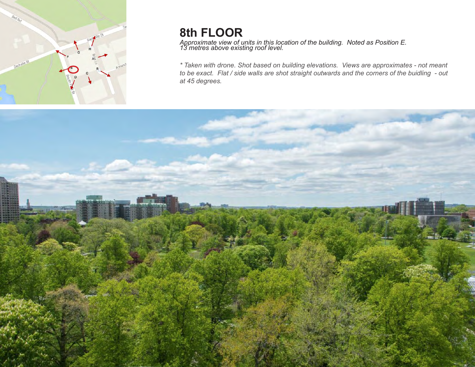

*Approximate view of units in this location of the building. Noted as Position E. 13 metres above existing roof level.* 

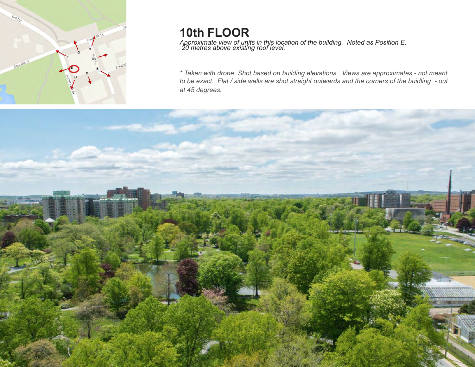

*Approximate view of units in this location of the building. Noted as Position E. 20 metres above existing roof level.*